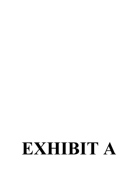# EXHIBIT A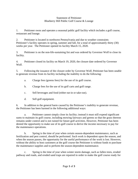### Statement of Petitioner Blueberry Hill Public Golf Course & Lounge

1. Petitioner owns and operates a seasonal public golf facility which includes a golf course, restaurant and lounge.

2. Petitioner is located in northwest Pennsylvania and due to weather constraints Petitioner's facility operates in spring, summer and fall, for a total of approximately thirty (30) weeks per year. The Petitioner opened its facility March 15, 2020.

3. Petitioner is on the non-life-sustaining list and was ordered by Governor Wolf to close its facility.

4. Petitioner closed its facility on March 19, 2020, the closure date ordered by Governor Wolf.

5. Following the issuance of the closure order by Governor Wolf, Petitioner has been unable to generate revenue from its facility including the inability to do the following:

- a. Charge fees (greens fees) for the use of its golf course.
- b. Charge fees for the use of its golf carts and golf range.
- c. Sell beverages and food (either eat-in or take-out).
- d. Sell golf equipment.

6. In addition to the general harm caused by the Petitioner's inability to generate revenue, the Petitioner has been harmed in the following additional ways:

a. Petitioner cannot simply close its facility; instead it must still expend significant sums to maintain its golf course, including mowing fairways and greens so that the grass thereon remains under control and is not ruined for future golf activities. However, Petitioner has been denied the opportunity to make use of its golf course to derive the income necessary to pay for the maintenance operations.

b. Spring is the time of year when certain season-dependent maintenance, such as fertilization and pest control, should be performed. Such work is dependent upon the season, and when the season passes, the opportunity for the useful performance of the work is lost. However, without the ability to host customers at the golf course the Petitioner is without funds to purchase the maintenance supplies and to perform the season-dependent maintenance.

c. Spring is the time of year when winter storm damage, such as fallen trees, eroded pathway and roads, and eroded sand traps are repaired in order to make the golf course ready for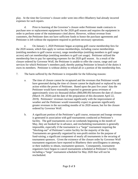play. At the time the Governor's closure order went into effect Blueberry had already incurred expenses for such repairs.

d. Prior to learning of the Governor's closure order Petitioner made contracts to purchase new or replacement equipment for the 2020 golf season and requires the equipment in order to perform some of the maintenance cited above. However, without revenue from customers, the Petitioner does not have sufficient funds to honor the purchase agreements and Petitioner is left without the equipment required to perform necessary operations.

e. On January 1, 2020 Petitioner began accepting golf course membership fees for the 2020 season, which fees apply to various memberships, including course memberships (entitling members to golf course access), range memberships (entitling members to golf range access) and cart memberships (entitling members to golf cart usage). Petitioner utilized the membership fees to pay for operating expenses for the 2020 golf season. As a result of the closure ordered by Governor Wolf, the Petitioner is unable to offer the course, range and cart services for which Petitioner's members paid, thereby putting Petitioner in breach of the duties it owes its members. Petitioner is without ability to refund all or a portion of the membership fees.

- 7. The harm suffered by the Petitioner is irreparable for the following reasons:
	- a. The time of closure cannot be recaptured and the revenues that Petitioner would have generated during the time of closure cannot be duplicated or replaced by any action within the power of Petitioner. Based upon the past five years' data the Petitioner would have reasonably expected to generate gross revenues of approximately sixty-six thousand dollars (\$66,000.00) between the date of closure (March 19, 2020) and the date of the preparation of this document April 22, 2019). Petitioners' revenues increase significantly with the improvement of weather and the Petitioner would reasonably expect to generate significantly greater revenues in the succeeding months of its 2020 season, but for the closure ordered by Governor Wolf.
	- b. A significant portion of the Petitioner's golf course, restaurant and lounge revenue is generated in association with golf tournaments conducted at Petitioner's facility. The golf tournaments occur on weekends beginning in the month of May, they are booked far in advance, and rescheduling tournaments is generally impossible, especially if the tournament is a "large" tournament requiring the "blocking-out" of Petitioner's entire facility for the majority of the day. Tournaments are generally organized by non-profit entities for the purpose of fund-raising; a significant component of nearly all tournaments is the securing of tournament sponsors. Given the existence of the closure order by Governor Wolf tournament organizers have reported to Blueberry their unwillingness to attempt, or their inability to obtain, tournament sponsors. Consequently, tournament organizers have begun to cancel tournaments scheduled at Petitioner's facility including a "large" tournament scheduled for May 2020 that will not be rescheduled.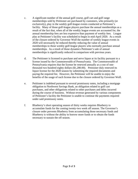- c. A significant number of the annual golf course, golf cart and golf range memberships sold by Petitioner are purchased by customers, who primarily (or exclusively), play in the weekly golf-league events conducted at Petitioner's facility. Many of those golf-league players purchase the annual memberships as a result of the fact that, when all of the weekly league events are accounted for, the annual membership fees are less expensive than payment of weekly fees. League play at Petitioner's facility was scheduled to begin in mid-April 2020. As a result of the closure ordered by Governor Wolf the number of weekly league events in 2020 will necessarily be reduced thereby reducing the value of annual memberships to those weekly golf-league players who normally purchase annual memberships. As a result of those dynamics Petitioner's sale of annual memberships is significantly reduced in comparison with previous years.
- d. The Petitioner is licensed to purchase and serve liquor at its facility pursuant to a license issued by the Commonwealth of Pennsylvania. The Commonwealth of Pennsylvania requires that the license be renewed annually at a cost of onethousand two hundred eighty dollars (\$1,280.00). Petitioner duly renewed its liquor license for the 2020 season by submitting the required documents and paying the required fee. However, the Petitioner will be unable to enjoy the benefits of the usage of such license due to the closure ordered by Governor Wolf.
- e. Petitioner is indebted pursuant to several promissory notes, including a mortgage obligation to Northwest Savings Bank, an obligation related to golf cart purchases, and other obligations related to other purchases and debts incurred during the course of business. Without revenue generated by various components of Petitioner's facility the Petitioner is unable to continue the payments required under said promissory notes.
- f. Blueberry's short operating season of thirty weeks requires Blueberry to accumulate funds for the coming twenty-two week off season. The Governor's closure order prevents Blueberry from accumulating those necessary funds and Blueberry is without the ability to borrow more funds or to obtain the funds necessary to sustain the off season.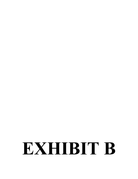# EXHIBIT B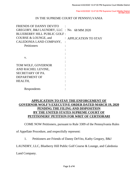Filed 4/22/2020 12:47:00 PM Supreme Court Middle District 68 MM 2020

# IN THE SUPREME COURT OF PENNSYLVANIA

| FRIENDS OF DANNY DEVITO                    |  |                         |
|--------------------------------------------|--|-------------------------|
| GREGORY, B&J LAUNDRY, LLC : No. 68 MM 2020 |  |                         |
| <b>BLUEBERRY HILL PUBLIC GOLF:</b>         |  |                         |
| COURSE & LOUNGE, and                       |  | $:$ APPLICATION TO STAY |
| CALEDONIA LAND COMPANY,                    |  |                         |
| Petitioners                                |  |                         |
|                                            |  |                         |
|                                            |  |                         |
| V.                                         |  |                         |
|                                            |  |                         |
| TOM WOLF, GOVERNOR                         |  |                         |
| AND RACHEL LEVINE,                         |  |                         |
| SECRETARY OF PA.                           |  |                         |
| <b>DEPARTMENT OF</b>                       |  |                         |
| HEALTH,                                    |  |                         |
|                                            |  |                         |
| Respondents                                |  |                         |

# **APPLICATION TO STAY THE ENFORCEMENT OF GOVERNOR WOLF'S EXECUTIVE ORDER DATED MARCH 19, 2020 PENDING THE FILING AND DISPOSITION BY THE UNITED STATES SUPREME COURT OF PETITIONERS' PETITION FOR WRIT OF CERTIORARI**

COME NOW Petitioners, pursuant to Rule 3309 of the Pennsylvania Rules

of Appellate Procedure, and respectfully represent:

1. Petitioners are Friends of Danny DeVito, Kathy Gregory, B&J

LAUNDRY, LLC, Blueberry Hill Public Golf Course & Lounge, and Caledonia

Land Company.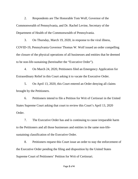2. Respondents are The Honorable Tom Wolf, Governor of the Commonwealth of Pennsylvania, and Dr. Rachel Levine, Secretary of the Department of Health of the Commonwealth of Pennsylvania.

3. On Thursday, March 19, 2020, in response to the viral illness, COVID-19, Pennsylvania Governor Thomas W. Wolf issued an order compelling the closure of the physical operations of all businesses and entities that he deemed to be non-life-sustaining (hereinafter the "Executive Order").

4. On March 24, 2020, Petitioners filed an Emergency Application for Extraordinary Relief in this Court asking it to vacate the Executive Order.

5. On April 13, 2020, this Court entered an Order denying all claims brought by the Petitioners.

6. Petitioners intend to file a Petition for Writ of Certiorari in the United States Supreme Court asking that court to review this Court's April 13, 2020 Order.

7. The Executive Order has and is continuing to cause irreparable harm to the Petitioners and all those businesses and entities in the same non-lifesustaining classification of the Executive Order.

8. Petitioners request this Court issue an order to stay the enforcement of the Executive Order pending the filing and disposition by the United States Supreme Court of Petitioners' Petition for Writ of Certiorari.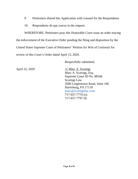- 9. Petitioners shared this Application with counsel for the Respondents.
- 10. Respondents do not concur in the request.

WHEREFORE, Petitioners pray this Honorable Court issue an order staying the enforcement of the Executive Order pending the filing and disposition by the United States Supreme Court of Petitioners' Petition for Writ of Certiorari for review of this Court's Order dated April 13, 2020.

Respectfully submitted,

April 22, 2020 /s/ Marc A. Scaringi Marc A. Scaringi, Esq. Supreme Court ID No. 88346 Scaringi Law 2000 Linglestown Road, Suite 106 Harrisburg, PA 17110 marc@scaringilaw.com 717-657-7770 (o) 717-657-7797 (f)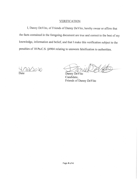## **VERIFICATION**

I, Danny DeVito, of Friends of Danny DeVito, hereby swear or affirm that the facts contained in the foregoing document are true and correct to the best of my knowledge, information and belief, and that I make this verification subject to the penalties of 18 Pa.C.S. §4904 relating to unsworn falsification to authorities.

 $\partial x \partial x$ Date

Danny DeVito Candidate, Friends of Danny DeVito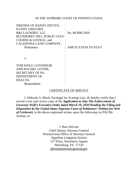### IN THE SUPREME COURT OF PENNSYLVANIA

| FRIENDS OF DANNY DEVITO,           |                       |
|------------------------------------|-----------------------|
| KATHY GREGORY,                     |                       |
| <b>B&amp;J LAUNDRY, LLC</b>        | : No. 68 MM 2020      |
| <b>BLUEBERRY HILL PUBLIC GOLF:</b> |                       |
| COURSE & LOUNGE, and               |                       |
| CALEDONIA LAND COMPANY,            |                       |
| Petitioners                        | : APPLICATION TO STAY |
|                                    |                       |
|                                    |                       |
| V.                                 |                       |
|                                    |                       |
| TOM WOLF, GOVERNOR                 |                       |
| AND RACHEL LEVINE,                 |                       |
| SECRETARY OF PA.                   |                       |
| <b>DEPARTMENT OF</b>               |                       |
| HEALTH,                            |                       |
| Respondents                        |                       |

## CERTIFICATE OF SERVICE

I, Deborah A. Black, Paralegal for Scaringi Law, do hereby certify that I served a true and correct copy of the *Application to Stay The Enforcement of Governor Wolf's Executive Order dated March 19, 2020 Pending the Filing and Disposition by the United States Supreme Court of Petitioners' Petition for Writ of Certiorari,* in the above-captioned action, upon the following via PACfile System, to:

> J. Bart DeLone Chief Deputy Attorney General Pennsylvania Office of Attorney General Appellate Litigation Section 15th Floor, Strawberry Square Harrisburg, PA 17120 [jdelone@attorneygeneral.gov](mailto:jdelone@attorneygeneral.gov)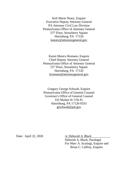Keli Marie Neary, Esquire Executive Deputy Attorney General PA Attorney Civil Law Division Pennsylvania Office of Attorney General 15<sup>th</sup> Floor, Strawberry Square Harrisburg, PA 17120 [kneary@attorneygeneral.gov](mailto:kneary@attorneygeneral.gov)

Karen Masico Romano, Esquire Chief Deputy Attorney General Pennsylvania Office of Attorney General 15<sup>th</sup> Floor, Strawberry Square Harrisburg, PA 17120 [kromano@attorneygeneral.gov](mailto:kromano@attorneygeneral.gov)

Gregory George Schwab, Esquire Pennsylvania Office of General Counsel Governor's Office of General Counsel 333 Market St 17th Fl. Harrisburg, PA 17126-0333 [grschwab@pal.gov](mailto:grschwab@pal.gov)

Date: April 22, 2020 /s/ *Deborah A. Black*\_\_\_\_\_\_\_\_\_\_\_\_

Deborah A. Black, Paralegal For Marc A. Scaringi, Esquire and Brian C. Caffrey, Esquire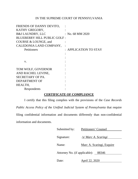# IN THE SUPREME COURT OF PENNSYLVANIA

| FRIENDS OF DANNY DEVITO,           |                             |
|------------------------------------|-----------------------------|
| KATHY GREGORY,                     |                             |
| <b>B&amp;J LAUNDRY, LLC</b>        | $\therefore$ No. 68 MM 2020 |
| <b>BLUEBERRY HILL PUBLIC GOLF:</b> |                             |
| COURSE & LOUNGE, and               |                             |
| CALEDONIA LAND COMPANY,            |                             |
| Petitioners                        | : APPLICATION TO STAY       |
|                                    |                             |
|                                    |                             |
| V.                                 |                             |
|                                    |                             |
| TOM WOLF, GOVERNOR                 |                             |
| AND RACHEL LEVINE,                 |                             |
| SECRETARY OF PA.                   |                             |
| <b>DEPARTMENT OF</b>               |                             |
| HEALTH,                            |                             |
| Respondents                        |                             |

# **CERTIFICATE OF COMPLIANCE**

I certify that this filing complies with the provisions of the *Case Records Public Access Policy of the Unified Judicial System of Pennsylvania* that require filing confidential information and documents differently than non-confidential information and documents.

| Submitted by:                       | Petitioners' Counsel      |  |  |  |
|-------------------------------------|---------------------------|--|--|--|
| Signature:                          | /s/ Marc A. Scaringi      |  |  |  |
| Name:                               | Marc A. Scaringi, Esquire |  |  |  |
| Attorney No. (if applicable): 88346 |                           |  |  |  |
| Date:                               | April 22, 2020            |  |  |  |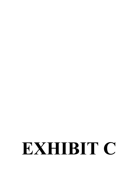# EXHIBIT C